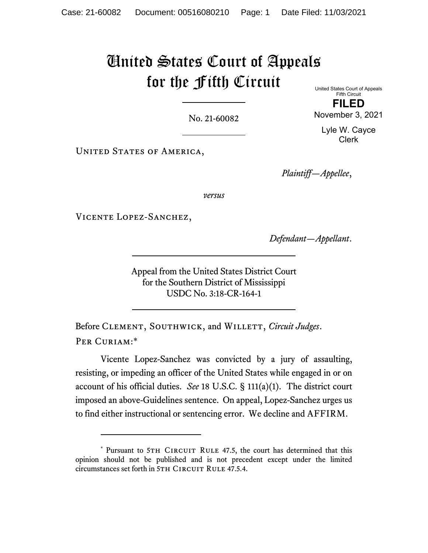# United States Court of Appeals for the Fifth Circuit

No. 21-60082

United States Court of Appeals Fifth Circuit

UNITED STATES OF AMERICA,

*Plaintiff—Appellee*,

*versus*

Vicente Lopez-Sanchez,

*Defendant—Appellant*.

Appeal from the United States District Court for the Southern District of Mississippi USDC No. 3:18-CR-164-1

Before CLEMENT, SOUTHWICK, and WILLETT, *Circuit Judges*. PER CURIAM:\*

Vicente Lopez-Sanchez was convicted by a jury of assaulting, resisting, or impeding an officer of the United States while engaged in or on account of his official duties. *See* 18 U.S.C. § 111(a)(1). The district court imposed an above-Guidelines sentence. On appeal, Lopez-Sanchez urges us to find either instructional or sentencing error. We decline and AFFIRM.

**FILED**  November 3, 2021

> Lyle W. Cayce Clerk

<sup>\*</sup> Pursuant to 5TH CIRCUIT RULE 47.5, the court has determined that this opinion should not be published and is not precedent except under the limited circumstances set forth in 5TH CIRCUIT RULE 47.5.4.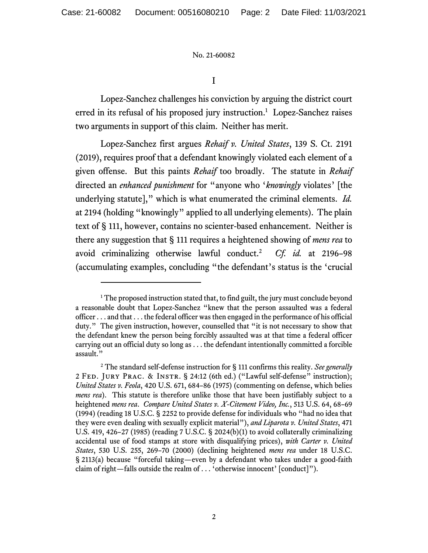I

Lopez-Sanchez challenges his conviction by arguing the district court erred in its refusal of his proposed jury instruction.<sup>1</sup> Lopez-Sanchez raises two arguments in support of this claim. Neither has merit.

Lopez-Sanchez first argues *Rehaif v. United States*, 139 S. Ct. 2191 (2019), requires proof that a defendant knowingly violated each element of a given offense. But this paints *Rehaif* too broadly. The statute in *Rehaif* directed an *enhanced punishment* for "anyone who '*knowingly* violates' [the underlying statute]," which is what enumerated the criminal elements. *Id.*  at 2194 (holding "knowingly" applied to all underlying elements). The plain text of § 111, however, contains no scienter-based enhancement. Neither is there any suggestion that § 111 requires a heightened showing of *mens rea* to avoid criminalizing otherwise lawful conduct.2 *Cf. id.* at 2196–98 (accumulating examples, concluding "the defendant's status is the 'crucial

<sup>&</sup>lt;sup>1</sup> The proposed instruction stated that, to find guilt, the jury must conclude beyond a reasonable doubt that Lopez-Sanchez "knew that the person assaulted was a federal officer . . . and that . . . the federal officer was then engaged in the performance of his official duty." The given instruction, however, counselled that "it is not necessary to show that the defendant knew the person being forcibly assaulted was at that time a federal officer carrying out an official duty so long as . . . the defendant intentionally committed a forcible assault."

<sup>2</sup> The standard self-defense instruction for § 111 confirms this reality. *See generally*  2 Fed. Jury Prac. & Instr. § 24:12 (6th ed.) ("Lawful self-defense" instruction); *United States v. Feola*, 420 U.S. 671, 684–86 (1975) (commenting on defense, which belies *mens rea*). This statute is therefore unlike those that have been justifiably subject to a heightened *mens rea*. *Compare United States v. X-Citement Video, Inc.*, 513 U.S. 64, 68–69 (1994) (reading 18 U.S.C. § 2252 to provide defense for individuals who "had no idea that they were even dealing with sexually explicit material"), *and Liparota v. United States*, 471 U.S. 419, 426–27 (1985) (reading 7 U.S.C. § 2024(b)(1) to avoid collaterally criminalizing accidental use of food stamps at store with disqualifying prices), *with Carter v. United States*, 530 U.S. 255, 269–70 (2000) (declining heightened *mens rea* under 18 U.S.C. § 2113(a) because "forceful taking—even by a defendant who takes under a good-faith claim of right—falls outside the realm of . . . 'otherwise innocent' [conduct]").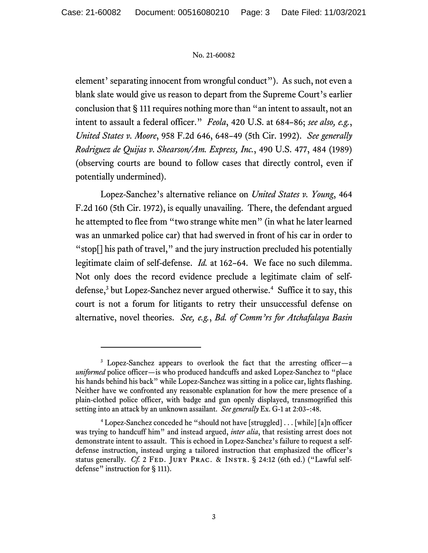element' separating innocent from wrongful conduct"). As such, not even a blank slate would give us reason to depart from the Supreme Court's earlier conclusion that § 111 requires nothing more than "an intent to assault, not an intent to assault a federal officer." *Feola*, 420 U.S. at 684–86; *see also, e.g.*, *United States v. Moore*, 958 F.2d 646, 648–49 (5th Cir. 1992). *See generally Rodriguez de Quijas v. Shearson/Am. Express, Inc.*, 490 U.S. 477, 484 (1989) (observing courts are bound to follow cases that directly control, even if potentially undermined).

Lopez-Sanchez's alternative reliance on *United States v. Young*, 464 F.2d 160 (5th Cir. 1972), is equally unavailing. There, the defendant argued he attempted to flee from "two strange white men" (in what he later learned was an unmarked police car) that had swerved in front of his car in order to "stop[] his path of travel," and the jury instruction precluded his potentially legitimate claim of self-defense. *Id.* at 162–64. We face no such dilemma. Not only does the record evidence preclude a legitimate claim of selfdefense,<sup>3</sup> but Lopez-Sanchez never argued otherwise.<sup>4</sup> Suffice it to say, this court is not a forum for litigants to retry their unsuccessful defense on alternative, novel theories. *See, e.g.*, *Bd. of Comm'rs for Atchafalaya Basin* 

<sup>&</sup>lt;sup>3</sup> Lopez-Sanchez appears to overlook the fact that the arresting officer-a *uniformed* police officer—is who produced handcuffs and asked Lopez-Sanchez to "place his hands behind his back" while Lopez-Sanchez was sitting in a police car, lights flashing. Neither have we confronted any reasonable explanation for how the mere presence of a plain-clothed police officer, with badge and gun openly displayed, transmogrified this setting into an attack by an unknown assailant. *See generally* Ex. G-1 at 2:03–:48.

<sup>&</sup>lt;sup>4</sup> Lopez-Sanchez conceded he "should not have [struggled] . . . [while] [a]n officer was trying to handcuff him" and instead argued, *inter alia*, that resisting arrest does not demonstrate intent to assault. This is echoed in Lopez-Sanchez's failure to request a selfdefense instruction, instead urging a tailored instruction that emphasized the officer's status generally. *Cf.* 2 FED. JURY PRAC. & INSTR. § 24:12 (6th ed.) ("Lawful selfdefense" instruction for § 111).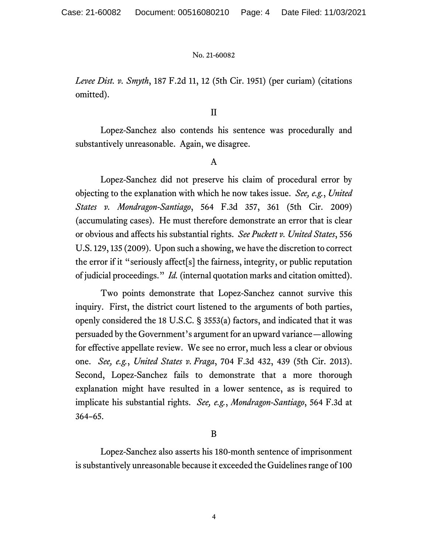*Levee Dist. v. Smyth*, 187 F.2d 11, 12 (5th Cir. 1951) (per curiam) (citations omitted).

## II

Lopez-Sanchez also contends his sentence was procedurally and substantively unreasonable. Again, we disagree.

## A

 Lopez-Sanchez did not preserve his claim of procedural error by objecting to the explanation with which he now takes issue. *See, e.g.*, *United States v. Mondragon-Santiago*, 564 F.3d 357, 361 (5th Cir. 2009) (accumulating cases). He must therefore demonstrate an error that is clear or obvious and affects his substantial rights. *See Puckett v. United States*, 556 U.S. 129, 135 (2009). Upon such a showing, we have the discretion to correct the error if it "seriously affect[s] the fairness, integrity, or public reputation of judicial proceedings." *Id.* (internal quotation marks and citation omitted).

Two points demonstrate that Lopez-Sanchez cannot survive this inquiry. First, the district court listened to the arguments of both parties, openly considered the 18 U.S.C. § 3553(a) factors, and indicated that it was persuaded by the Government's argument for an upward variance—allowing for effective appellate review. We see no error, much less a clear or obvious one. *See, e.g.*, *United States v. Fraga*, 704 F.3d 432, 439 (5th Cir. 2013). Second, Lopez-Sanchez fails to demonstrate that a more thorough explanation might have resulted in a lower sentence, as is required to implicate his substantial rights. *See, e.g.*, *Mondragon-Santiago*, 564 F.3d at 364–65.

## B

Lopez-Sanchez also asserts his 180-month sentence of imprisonment is substantively unreasonable because it exceeded the Guidelines range of 100